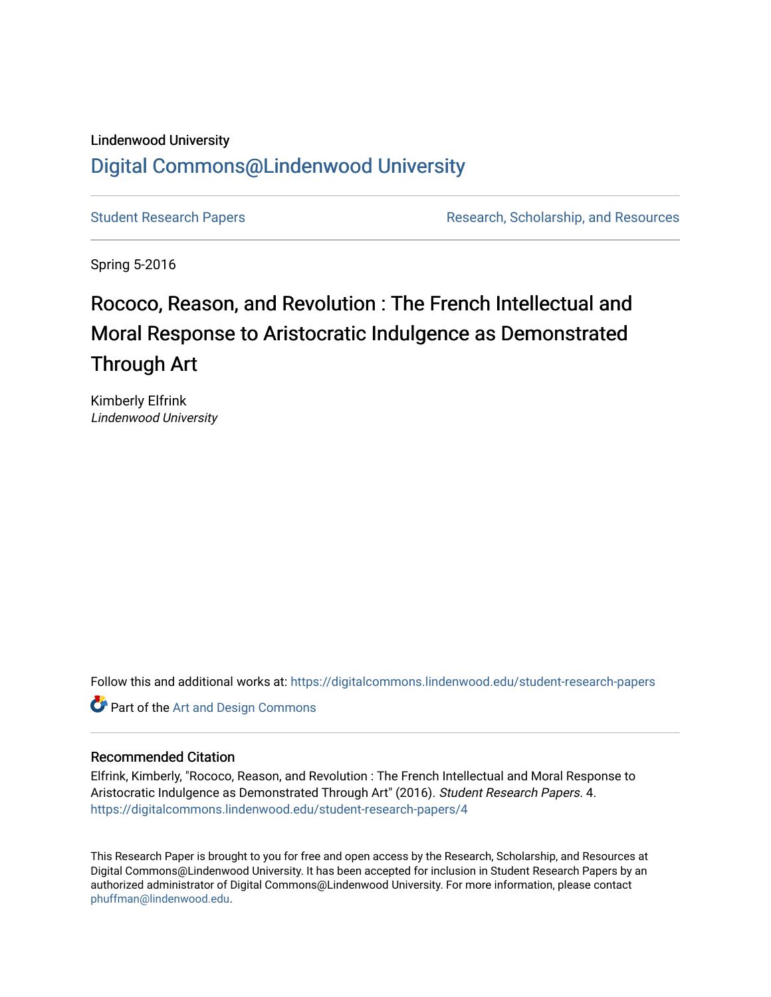#### Lindenwood University

## [Digital Commons@Lindenwood University](https://digitalcommons.lindenwood.edu/)

[Student Research Papers](https://digitalcommons.lindenwood.edu/student-research-papers) **Research Australian Exercise Research**, Scholarship, and Resources

Spring 5-2016

# Rococo, Reason, and Revolution : The French Intellectual and Moral Response to Aristocratic Indulgence as Demonstrated Through Art

Kimberly Elfrink Lindenwood University

Follow this and additional works at: [https://digitalcommons.lindenwood.edu/student-research-papers](https://digitalcommons.lindenwood.edu/student-research-papers?utm_source=digitalcommons.lindenwood.edu%2Fstudent-research-papers%2F4&utm_medium=PDF&utm_campaign=PDFCoverPages) 

**Part of the [Art and Design Commons](http://network.bepress.com/hgg/discipline/1049?utm_source=digitalcommons.lindenwood.edu%2Fstudent-research-papers%2F4&utm_medium=PDF&utm_campaign=PDFCoverPages)** 

### Recommended Citation

Elfrink, Kimberly, "Rococo, Reason, and Revolution : The French Intellectual and Moral Response to Aristocratic Indulgence as Demonstrated Through Art" (2016). Student Research Papers. 4. [https://digitalcommons.lindenwood.edu/student-research-papers/4](https://digitalcommons.lindenwood.edu/student-research-papers/4?utm_source=digitalcommons.lindenwood.edu%2Fstudent-research-papers%2F4&utm_medium=PDF&utm_campaign=PDFCoverPages) 

This Research Paper is brought to you for free and open access by the Research, Scholarship, and Resources at Digital Commons@Lindenwood University. It has been accepted for inclusion in Student Research Papers by an authorized administrator of Digital Commons@Lindenwood University. For more information, please contact [phuffman@lindenwood.edu](mailto:phuffman@lindenwood.edu).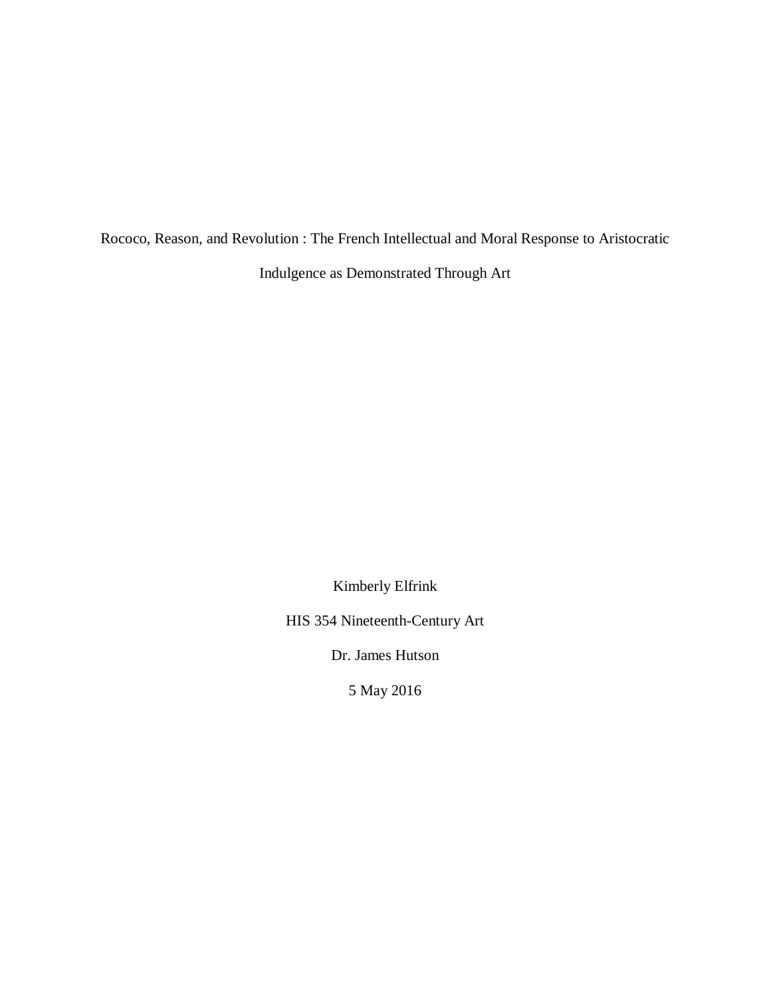Rococo, Reason, and Revolution : The French Intellectual and Moral Response to Aristocratic

Indulgence as Demonstrated Through Art

Kimberly Elfrink

HIS 354 Nineteenth-Century Art

Dr. James Hutson

5 May 2016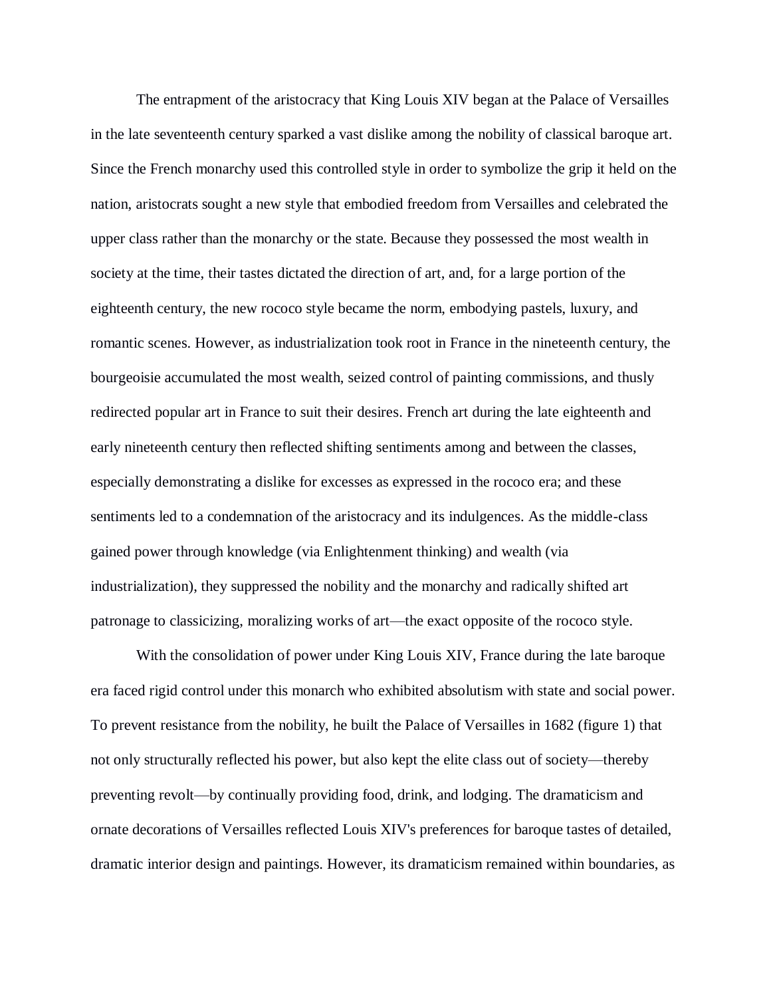The entrapment of the aristocracy that King Louis XIV began at the Palace of Versailles in the late seventeenth century sparked a vast dislike among the nobility of classical baroque art. Since the French monarchy used this controlled style in order to symbolize the grip it held on the nation, aristocrats sought a new style that embodied freedom from Versailles and celebrated the upper class rather than the monarchy or the state. Because they possessed the most wealth in society at the time, their tastes dictated the direction of art, and, for a large portion of the eighteenth century, the new rococo style became the norm, embodying pastels, luxury, and romantic scenes. However, as industrialization took root in France in the nineteenth century, the bourgeoisie accumulated the most wealth, seized control of painting commissions, and thusly redirected popular art in France to suit their desires. French art during the late eighteenth and early nineteenth century then reflected shifting sentiments among and between the classes, especially demonstrating a dislike for excesses as expressed in the rococo era; and these sentiments led to a condemnation of the aristocracy and its indulgences. As the middle-class gained power through knowledge (via Enlightenment thinking) and wealth (via industrialization), they suppressed the nobility and the monarchy and radically shifted art patronage to classicizing, moralizing works of art—the exact opposite of the rococo style.

With the consolidation of power under King Louis XIV, France during the late baroque era faced rigid control under this monarch who exhibited absolutism with state and social power. To prevent resistance from the nobility, he built the Palace of Versailles in 1682 (figure 1) that not only structurally reflected his power, but also kept the elite class out of society—thereby preventing revolt—by continually providing food, drink, and lodging. The dramaticism and ornate decorations of Versailles reflected Louis XIV's preferences for baroque tastes of detailed, dramatic interior design and paintings. However, its dramaticism remained within boundaries, as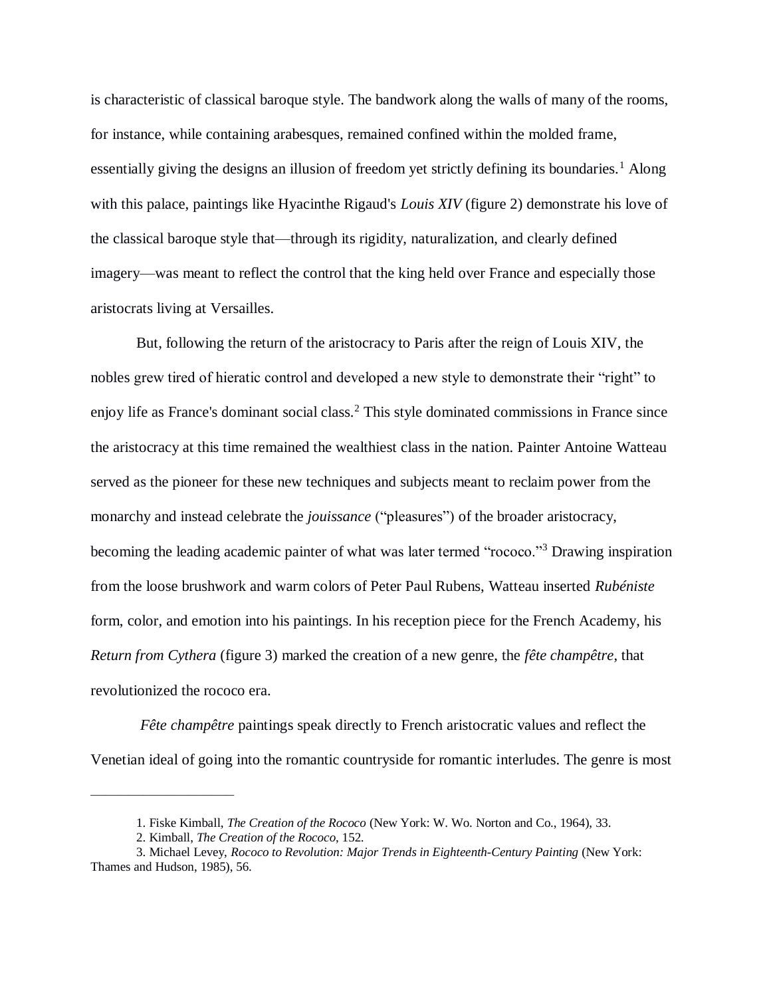is characteristic of classical baroque style. The bandwork along the walls of many of the rooms, for instance, while containing arabesques, remained confined within the molded frame, essentially giving the designs an illusion of freedom yet strictly defining its boundaries.<sup>1</sup> Along with this palace, paintings like Hyacinthe Rigaud's *Louis XIV* (figure 2) demonstrate his love of the classical baroque style that—through its rigidity, naturalization, and clearly defined imagery—was meant to reflect the control that the king held over France and especially those aristocrats living at Versailles.

But, following the return of the aristocracy to Paris after the reign of Louis XIV, the nobles grew tired of hieratic control and developed a new style to demonstrate their "right" to enjoy life as France's dominant social class.<sup>2</sup> This style dominated commissions in France since the aristocracy at this time remained the wealthiest class in the nation. Painter Antoine Watteau served as the pioneer for these new techniques and subjects meant to reclaim power from the monarchy and instead celebrate the *jouissance* ("pleasures") of the broader aristocracy, becoming the leading academic painter of what was later termed "rococo."<sup>3</sup> Drawing inspiration from the loose brushwork and warm colors of Peter Paul Rubens, Watteau inserted *Rubéniste*  form, color, and emotion into his paintings. In his reception piece for the French Academy, his *Return from Cythera* (figure 3) marked the creation of a new genre, the *fête champêtre*, that revolutionized the rococo era.

*Fête champêtre* paintings speak directly to French aristocratic values and reflect the Venetian ideal of going into the romantic countryside for romantic interludes. The genre is most

<sup>1.</sup> Fiske Kimball, *The Creation of the Rococo* (New York: W. Wo. Norton and Co., 1964), 33.

<sup>2.</sup> Kimball, *The Creation of the Rococo*, 152.

<sup>3.</sup> Michael Levey, *Rococo to Revolution: Major Trends in Eighteenth-Century Painting* (New York: Thames and Hudson, 1985), 56.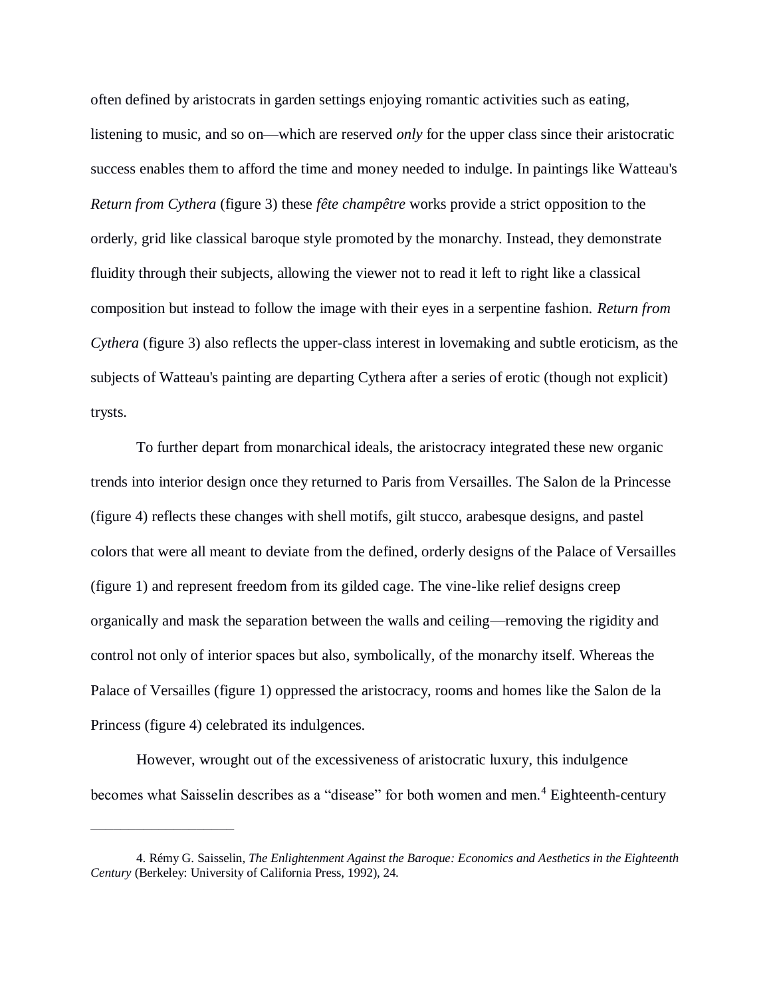often defined by aristocrats in garden settings enjoying romantic activities such as eating, listening to music, and so on—which are reserved *only* for the upper class since their aristocratic success enables them to afford the time and money needed to indulge. In paintings like Watteau's *Return from Cythera* (figure 3) these *fête champêtre* works provide a strict opposition to the orderly, grid like classical baroque style promoted by the monarchy. Instead, they demonstrate fluidity through their subjects, allowing the viewer not to read it left to right like a classical composition but instead to follow the image with their eyes in a serpentine fashion. *Return from Cythera* (figure 3) also reflects the upper-class interest in lovemaking and subtle eroticism, as the subjects of Watteau's painting are departing Cythera after a series of erotic (though not explicit) trysts.

To further depart from monarchical ideals, the aristocracy integrated these new organic trends into interior design once they returned to Paris from Versailles. The Salon de la Princesse (figure 4) reflects these changes with shell motifs, gilt stucco, arabesque designs, and pastel colors that were all meant to deviate from the defined, orderly designs of the Palace of Versailles (figure 1) and represent freedom from its gilded cage. The vine-like relief designs creep organically and mask the separation between the walls and ceiling—removing the rigidity and control not only of interior spaces but also, symbolically, of the monarchy itself. Whereas the Palace of Versailles (figure 1) oppressed the aristocracy, rooms and homes like the Salon de la Princess (figure 4) celebrated its indulgences.

However, wrought out of the excessiveness of aristocratic luxury, this indulgence becomes what Saisselin describes as a "disease" for both women and men.<sup>4</sup> Eighteenth-century

<sup>4.</sup> Rémy G. Saisselin, *The Enlightenment Against the Baroque: Economics and Aesthetics in the Eighteenth Century* (Berkeley: University of California Press, 1992), 24.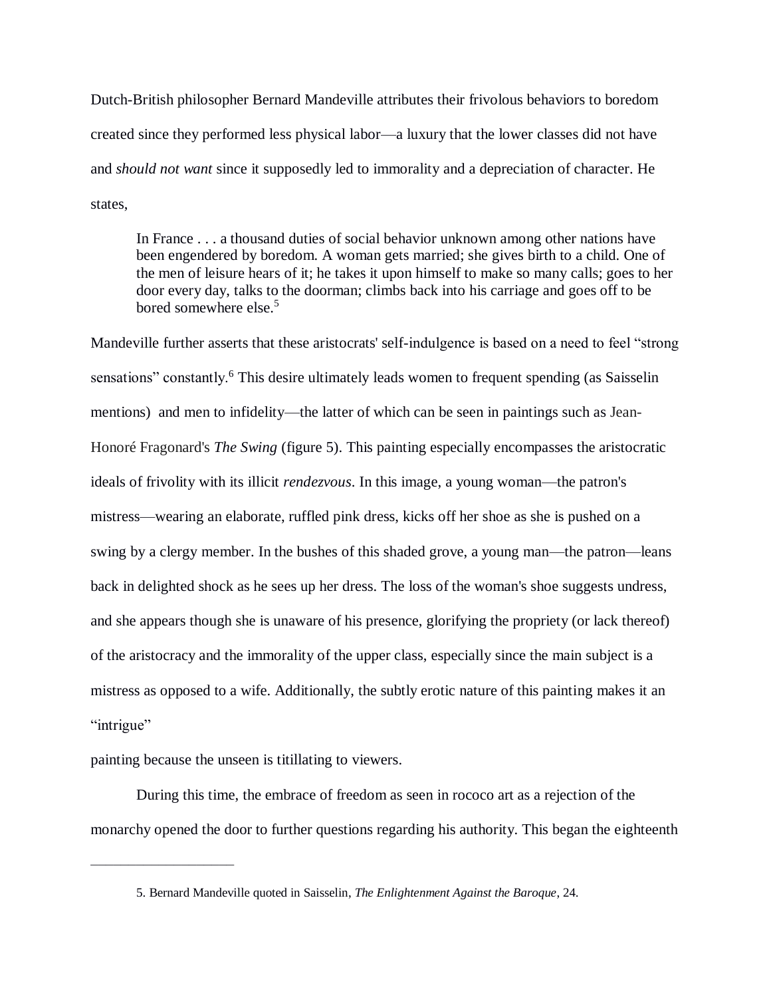Dutch-British philosopher Bernard Mandeville attributes their frivolous behaviors to boredom created since they performed less physical labor—a luxury that the lower classes did not have and *should not want* since it supposedly led to immorality and a depreciation of character. He states,

In France . . . a thousand duties of social behavior unknown among other nations have been engendered by boredom. A woman gets married; she gives birth to a child. One of the men of leisure hears of it; he takes it upon himself to make so many calls; goes to her door every day, talks to the doorman; climbs back into his carriage and goes off to be bored somewhere else.<sup>5</sup>

Mandeville further asserts that these aristocrats' self-indulgence is based on a need to feel "strong sensations" constantly.<sup>6</sup> This desire ultimately leads women to frequent spending (as Saisselin mentions) and men to infidelity—the latter of which can be seen in paintings such as Jean-Honoré Fragonard's *The Swing* (figure 5). This painting especially encompasses the aristocratic ideals of frivolity with its illicit *rendezvous*. In this image, a young woman—the patron's mistress—wearing an elaborate, ruffled pink dress, kicks off her shoe as she is pushed on a swing by a clergy member. In the bushes of this shaded grove, a young man—the patron—leans back in delighted shock as he sees up her dress. The loss of the woman's shoe suggests undress, and she appears though she is unaware of his presence, glorifying the propriety (or lack thereof) of the aristocracy and the immorality of the upper class, especially since the main subject is a mistress as opposed to a wife. Additionally, the subtly erotic nature of this painting makes it an "intrigue"

painting because the unseen is titillating to viewers.

–––––––––––––––––––

During this time, the embrace of freedom as seen in rococo art as a rejection of the monarchy opened the door to further questions regarding his authority. This began the eighteenth

<sup>5.</sup> Bernard Mandeville quoted in Saisselin, *The Enlightenment Against the Baroque*, 24.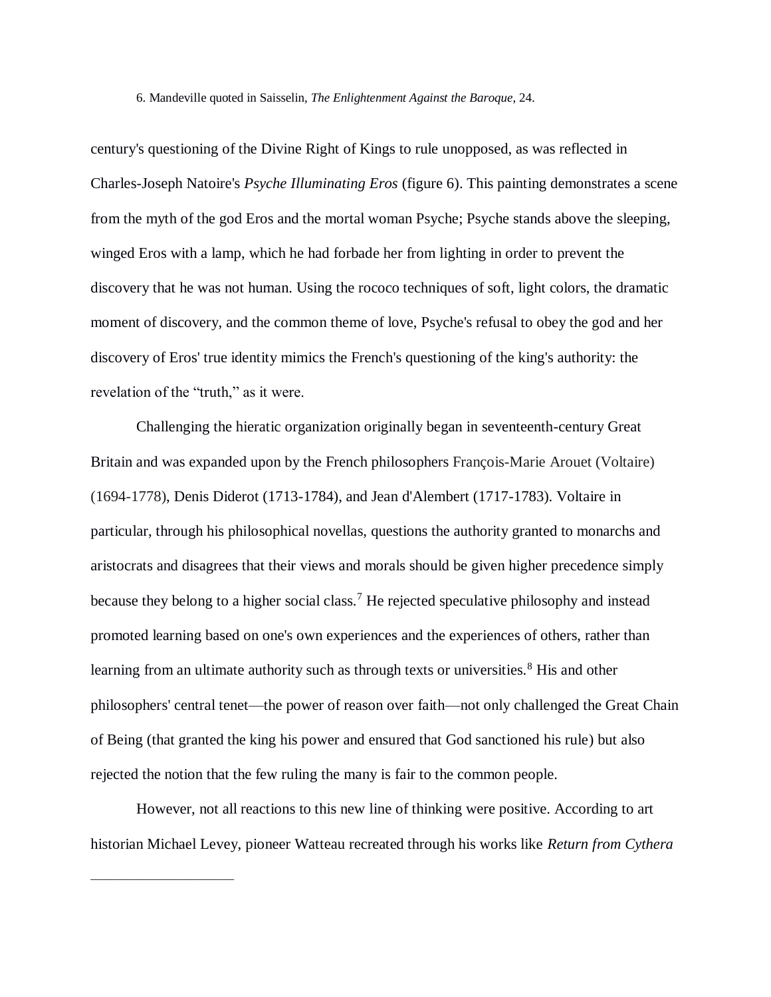6. Mandeville quoted in Saisselin, *The Enlightenment Against the Baroque*, 24.

century's questioning of the Divine Right of Kings to rule unopposed, as was reflected in Charles-Joseph Natoire's *Psyche Illuminating Eros* (figure 6). This painting demonstrates a scene from the myth of the god Eros and the mortal woman Psyche; Psyche stands above the sleeping, winged Eros with a lamp, which he had forbade her from lighting in order to prevent the discovery that he was not human. Using the rococo techniques of soft, light colors, the dramatic moment of discovery, and the common theme of love, Psyche's refusal to obey the god and her discovery of Eros' true identity mimics the French's questioning of the king's authority: the revelation of the "truth," as it were.

Challenging the hieratic organization originally began in seventeenth-century Great Britain and was expanded upon by the French philosophers François-Marie Arouet (Voltaire) (1694-1778), Denis Diderot (1713-1784), and Jean d'Alembert (1717-1783). Voltaire in particular, through his philosophical novellas, questions the authority granted to monarchs and aristocrats and disagrees that their views and morals should be given higher precedence simply because they belong to a higher social class.<sup>7</sup> He rejected speculative philosophy and instead promoted learning based on one's own experiences and the experiences of others, rather than learning from an ultimate authority such as through texts or universities.<sup>8</sup> His and other philosophers' central tenet—the power of reason over faith—not only challenged the Great Chain of Being (that granted the king his power and ensured that God sanctioned his rule) but also rejected the notion that the few ruling the many is fair to the common people.

However, not all reactions to this new line of thinking were positive. According to art historian Michael Levey, pioneer Watteau recreated through his works like *Return from Cythera*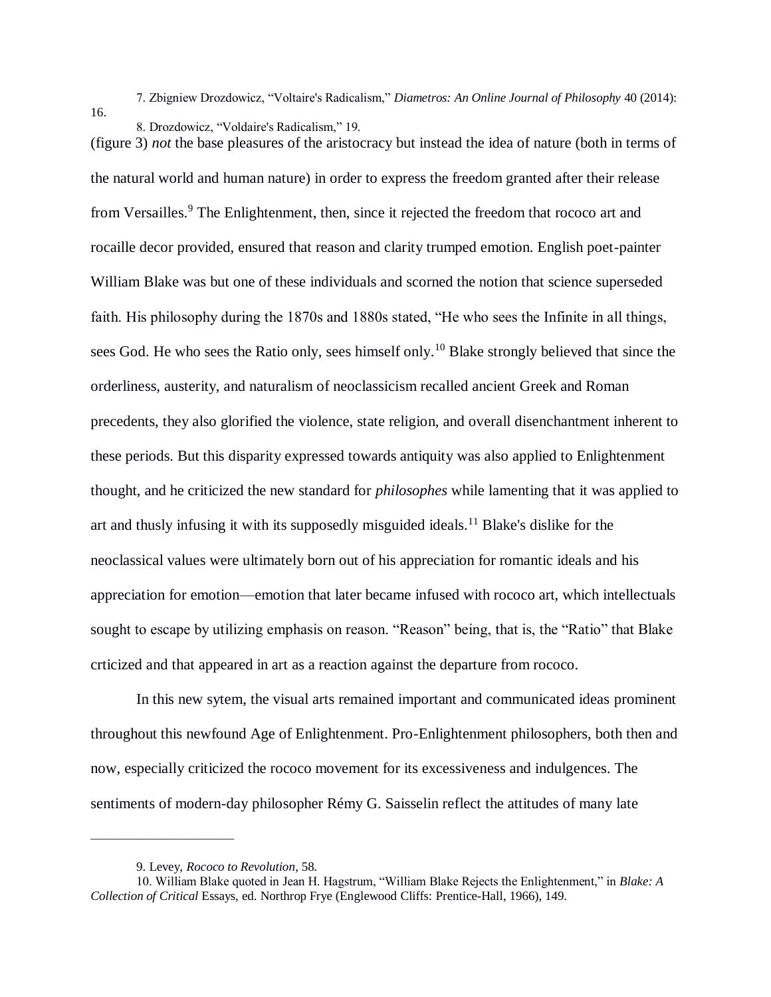16.

7. Zbigniew Drozdowicz, "Voltaire's Radicalism," *Diametros: An Online Journal of Philosophy* 40 (2014):

8. Drozdowicz, "Voldaire's Radicalism," 19.

(figure 3) *not* the base pleasures of the aristocracy but instead the idea of nature (both in terms of the natural world and human nature) in order to express the freedom granted after their release from Versailles.<sup>9</sup> The Enlightenment, then, since it rejected the freedom that rococo art and rocaille decor provided, ensured that reason and clarity trumped emotion. English poet-painter William Blake was but one of these individuals and scorned the notion that science superseded faith. His philosophy during the 1870s and 1880s stated, "He who sees the Infinite in all things, sees God. He who sees the Ratio only, sees himself only.<sup>10</sup> Blake strongly believed that since the orderliness, austerity, and naturalism of neoclassicism recalled ancient Greek and Roman precedents, they also glorified the violence, state religion, and overall disenchantment inherent to these periods. But this disparity expressed towards antiquity was also applied to Enlightenment thought, and he criticized the new standard for *philosophes* while lamenting that it was applied to art and thusly infusing it with its supposedly misguided ideals.<sup>11</sup> Blake's dislike for the neoclassical values were ultimately born out of his appreciation for romantic ideals and his appreciation for emotion—emotion that later became infused with rococo art, which intellectuals sought to escape by utilizing emphasis on reason. "Reason" being, that is, the "Ratio" that Blake crticized and that appeared in art as a reaction against the departure from rococo.

In this new sytem, the visual arts remained important and communicated ideas prominent throughout this newfound Age of Enlightenment. Pro-Enlightenment philosophers, both then and now, especially criticized the rococo movement for its excessiveness and indulgences. The sentiments of modern-day philosopher Rémy G. Saisselin reflect the attitudes of many late

<sup>9.</sup> Levey, *Rococo to Revolution*, 58.

<sup>10.</sup> William Blake quoted in Jean H. Hagstrum, "William Blake Rejects the Enlightenment," in *Blake: A Collection of Critical* Essays, ed. Northrop Frye (Englewood Cliffs: Prentice-Hall, 1966), 149.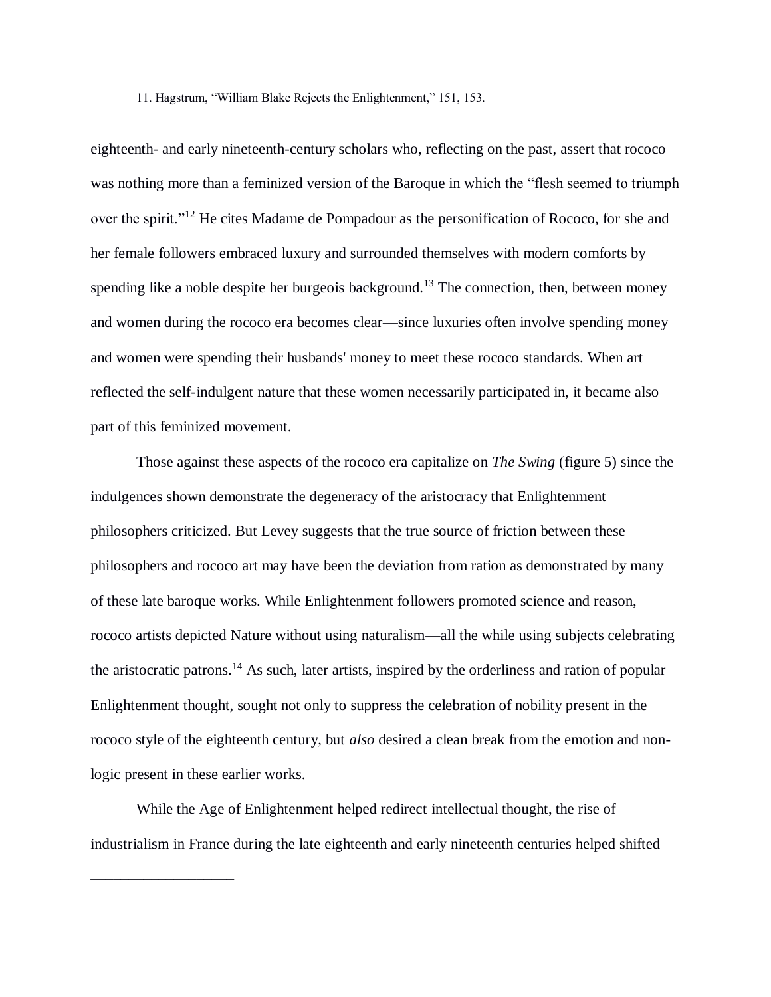11. Hagstrum, "William Blake Rejects the Enlightenment," 151, 153.

eighteenth- and early nineteenth-century scholars who, reflecting on the past, assert that rococo was nothing more than a feminized version of the Baroque in which the "flesh seemed to triumph over the spirit."<sup>12</sup> He cites Madame de Pompadour as the personification of Rococo, for she and her female followers embraced luxury and surrounded themselves with modern comforts by spending like a noble despite her burgeois background.<sup>13</sup> The connection, then, between money and women during the rococo era becomes clear—since luxuries often involve spending money and women were spending their husbands' money to meet these rococo standards. When art reflected the self-indulgent nature that these women necessarily participated in, it became also part of this feminized movement.

Those against these aspects of the rococo era capitalize on *The Swing* (figure 5) since the indulgences shown demonstrate the degeneracy of the aristocracy that Enlightenment philosophers criticized. But Levey suggests that the true source of friction between these philosophers and rococo art may have been the deviation from ration as demonstrated by many of these late baroque works. While Enlightenment followers promoted science and reason, rococo artists depicted Nature without using naturalism—all the while using subjects celebrating the aristocratic patrons.<sup>14</sup> As such, later artists, inspired by the orderliness and ration of popular Enlightenment thought, sought not only to suppress the celebration of nobility present in the rococo style of the eighteenth century, but *also* desired a clean break from the emotion and nonlogic present in these earlier works.

While the Age of Enlightenment helped redirect intellectual thought, the rise of industrialism in France during the late eighteenth and early nineteenth centuries helped shifted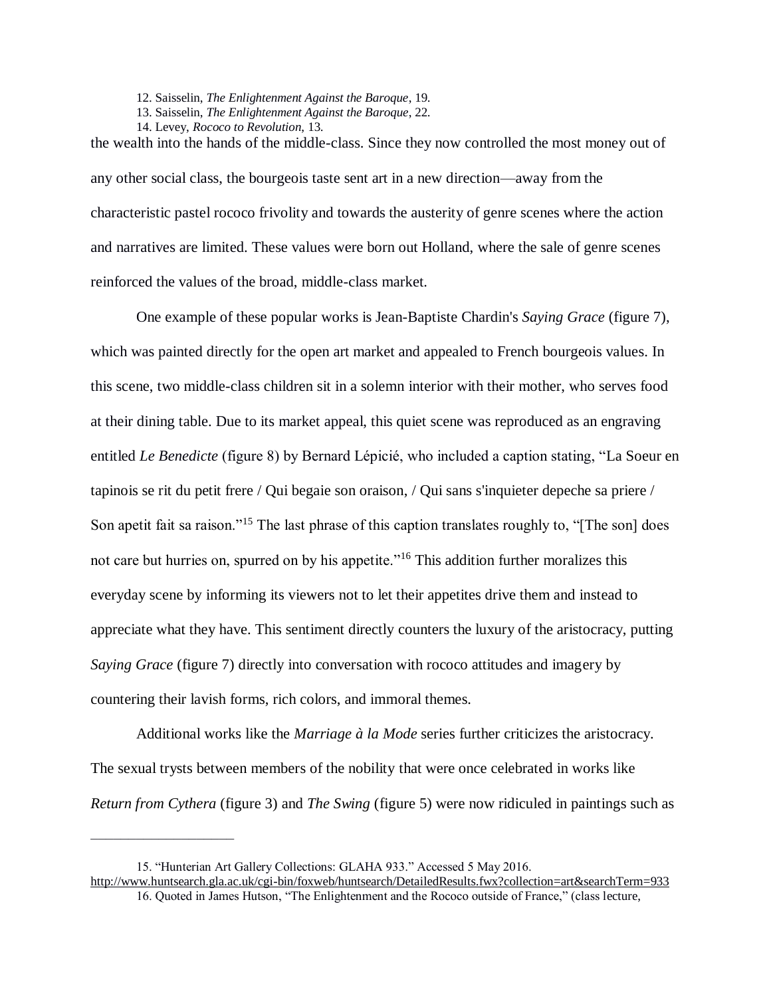- 12. Saisselin, *The Enlightenment Against the Baroque*, 19.
- 13. Saisselin, *The Enlightenment Against the Baroque*, 22.
- 14. Levey, *Rococo to Revolution*, 13.

the wealth into the hands of the middle-class. Since they now controlled the most money out of any other social class, the bourgeois taste sent art in a new direction—away from the characteristic pastel rococo frivolity and towards the austerity of genre scenes where the action and narratives are limited. These values were born out Holland, where the sale of genre scenes reinforced the values of the broad, middle-class market.

One example of these popular works is Jean-Baptiste Chardin's *Saying Grace* (figure 7), which was painted directly for the open art market and appealed to French bourgeois values. In this scene, two middle-class children sit in a solemn interior with their mother, who serves food at their dining table. Due to its market appeal, this quiet scene was reproduced as an engraving entitled *Le Benedicte* (figure 8) by Bernard Lépicié, who included a caption stating, "La Soeur en tapinois se rit du petit frere / Qui begaie son oraison, / Qui sans s'inquieter depeche sa priere / Son apetit fait sa raison."<sup>15</sup> The last phrase of this caption translates roughly to, "[The son] does not care but hurries on, spurred on by his appetite."<sup>16</sup> This addition further moralizes this everyday scene by informing its viewers not to let their appetites drive them and instead to appreciate what they have. This sentiment directly counters the luxury of the aristocracy, putting *Saying Grace* (figure 7) directly into conversation with rococo attitudes and imagery by countering their lavish forms, rich colors, and immoral themes.

Additional works like the *Marriage à la Mode* series further criticizes the aristocracy. The sexual trysts between members of the nobility that were once celebrated in works like *Return from Cythera* (figure 3) and *The Swing* (figure 5) were now ridiculed in paintings such as

<sup>15. &</sup>quot;Hunterian Art Gallery Collections: GLAHA 933." Accessed 5 May 2016.

<http://www.huntsearch.gla.ac.uk/cgi-bin/foxweb/huntsearch/DetailedResults.fwx?collection=art&searchTerm=933> 16. Quoted in James Hutson, "The Enlightenment and the Rococo outside of France," (class lecture,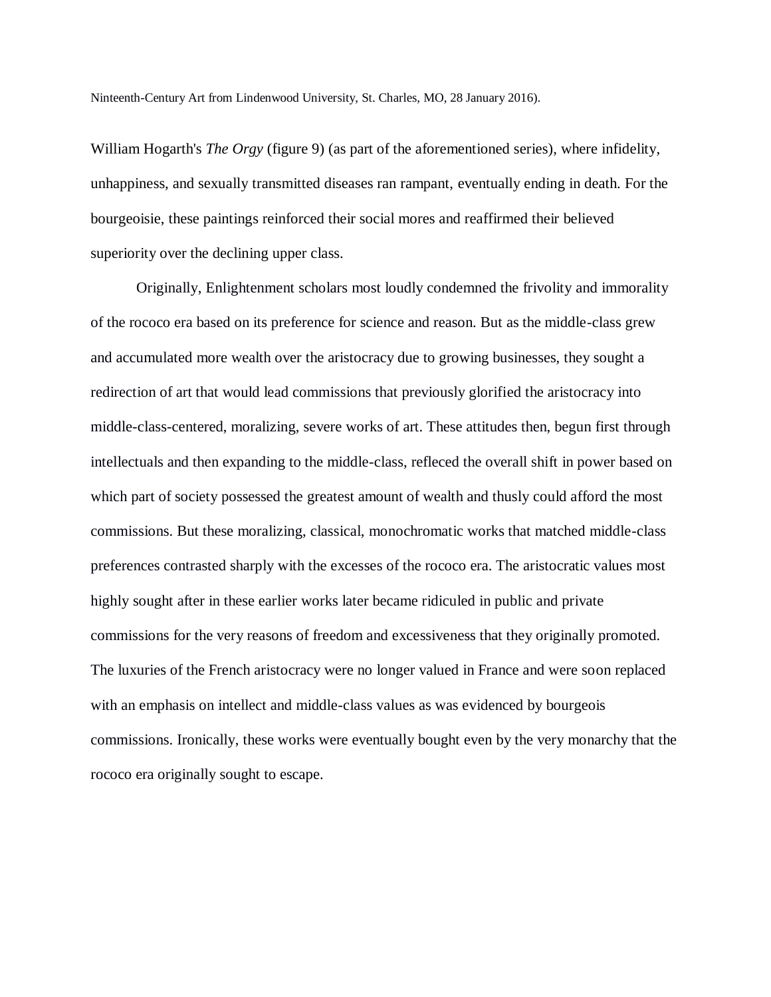Ninteenth-Century Art from Lindenwood University, St. Charles, MO, 28 January 2016).

William Hogarth's *The Orgy* (figure 9) (as part of the aforementioned series), where infidelity, unhappiness, and sexually transmitted diseases ran rampant, eventually ending in death. For the bourgeoisie, these paintings reinforced their social mores and reaffirmed their believed superiority over the declining upper class.

Originally, Enlightenment scholars most loudly condemned the frivolity and immorality of the rococo era based on its preference for science and reason. But as the middle-class grew and accumulated more wealth over the aristocracy due to growing businesses, they sought a redirection of art that would lead commissions that previously glorified the aristocracy into middle-class-centered, moralizing, severe works of art. These attitudes then, begun first through intellectuals and then expanding to the middle-class, refleced the overall shift in power based on which part of society possessed the greatest amount of wealth and thusly could afford the most commissions. But these moralizing, classical, monochromatic works that matched middle-class preferences contrasted sharply with the excesses of the rococo era. The aristocratic values most highly sought after in these earlier works later became ridiculed in public and private commissions for the very reasons of freedom and excessiveness that they originally promoted. The luxuries of the French aristocracy were no longer valued in France and were soon replaced with an emphasis on intellect and middle-class values as was evidenced by bourgeois commissions. Ironically, these works were eventually bought even by the very monarchy that the rococo era originally sought to escape.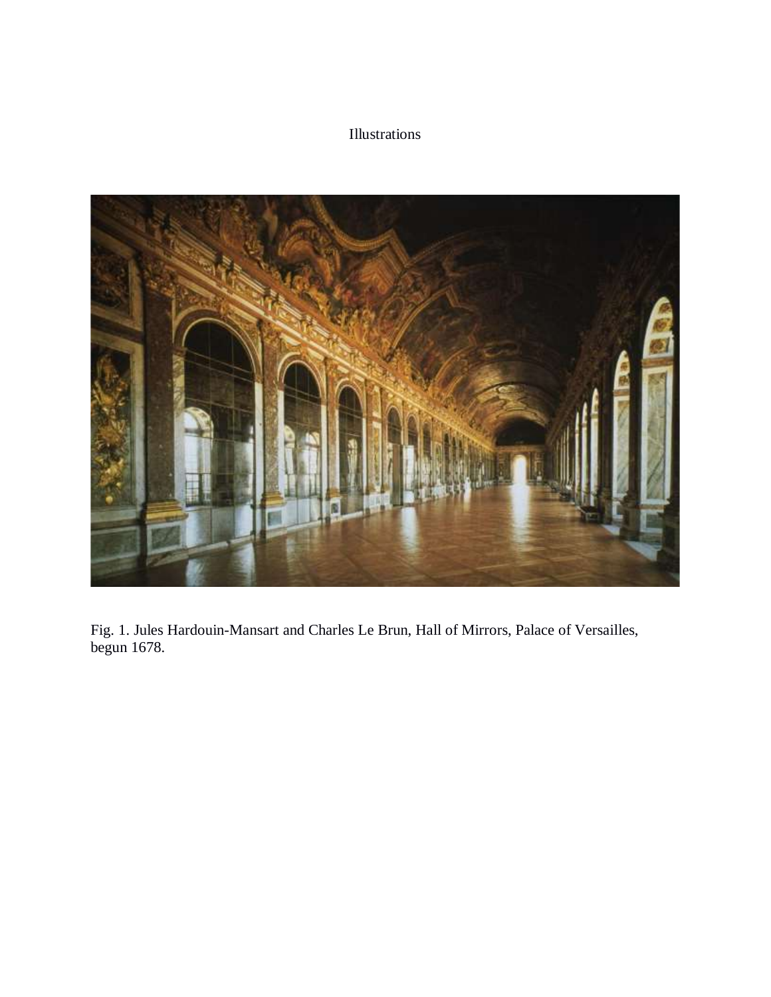### Illustrations



Fig. 1. Jules Hardouin-Mansart and Charles Le Brun, Hall of Mirrors, Palace of Versailles, begun 1678.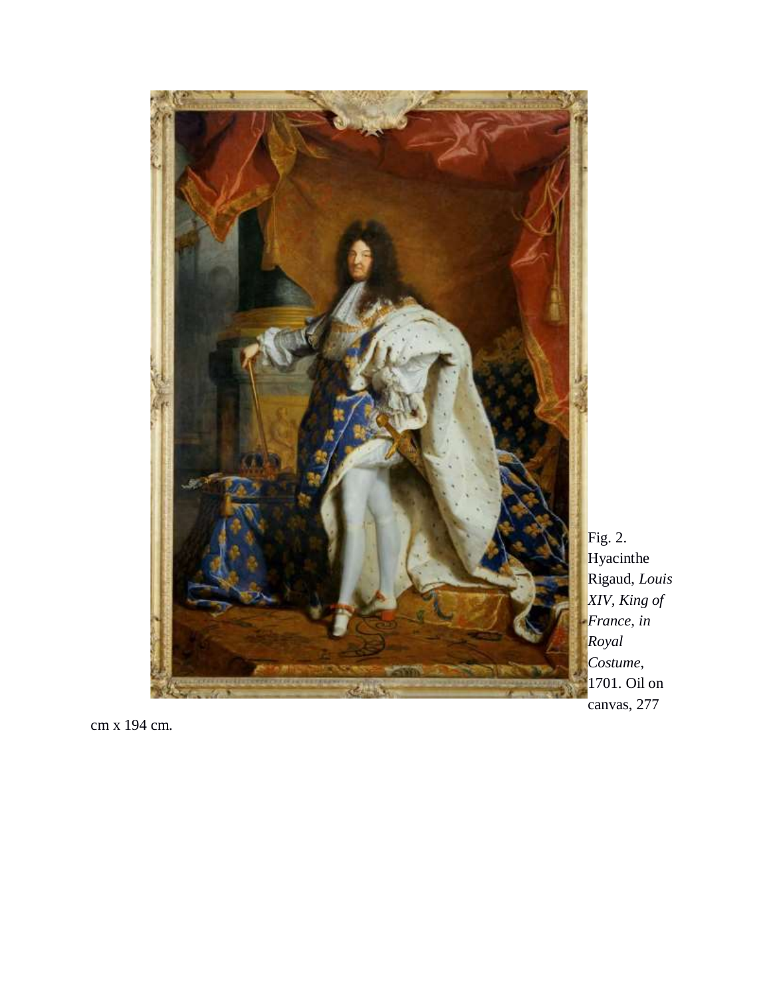

Fig. 2. Hyacinthe Rigaud, *Louis XIV, King of France, in Royal Costume*, 1701. Oil on canvas, 277

cm x 194 cm.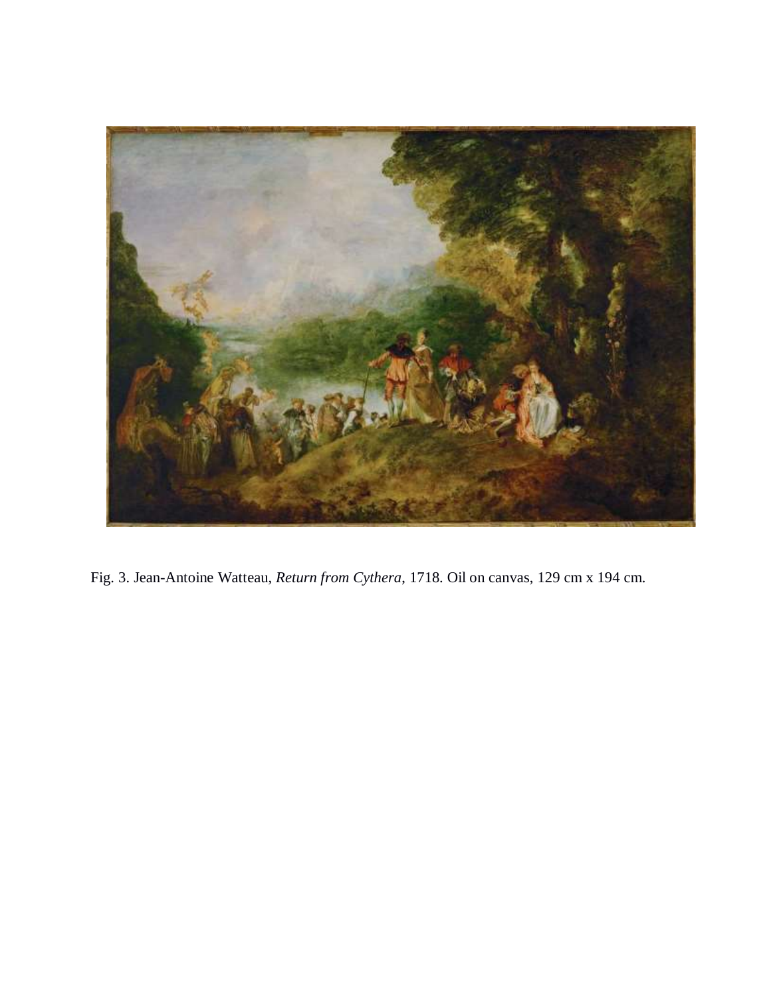

Fig. 3. Jean-Antoine Watteau, *Return from Cythera*, 1718. Oil on canvas, 129 cm x 194 cm.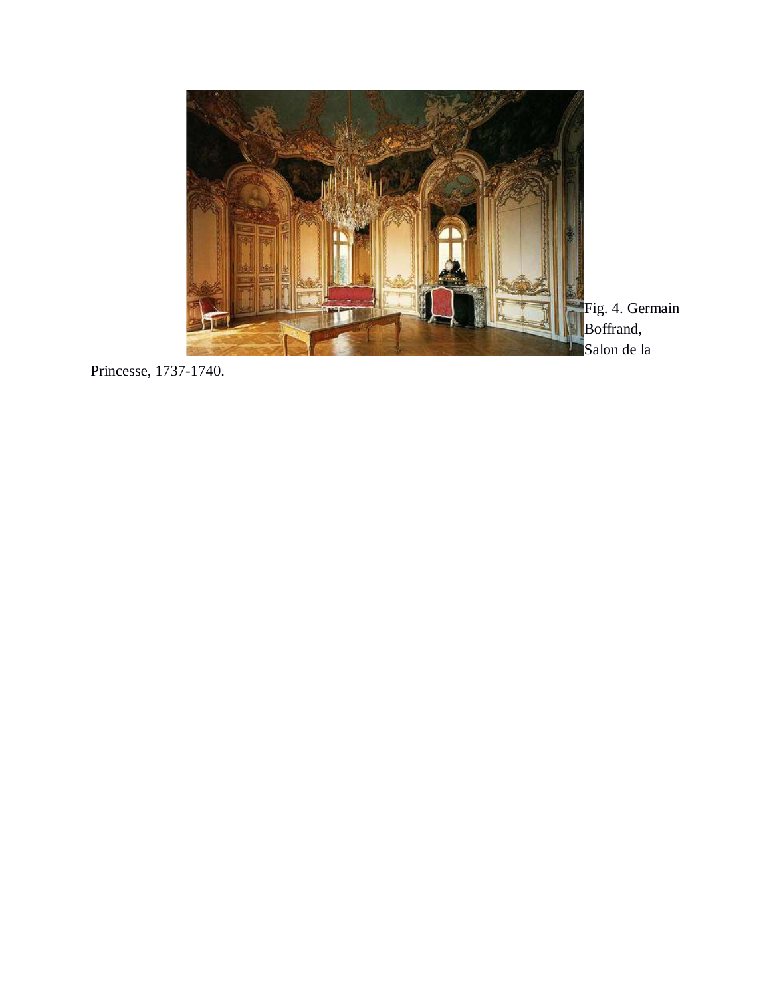

Princesse, 1737 -1740.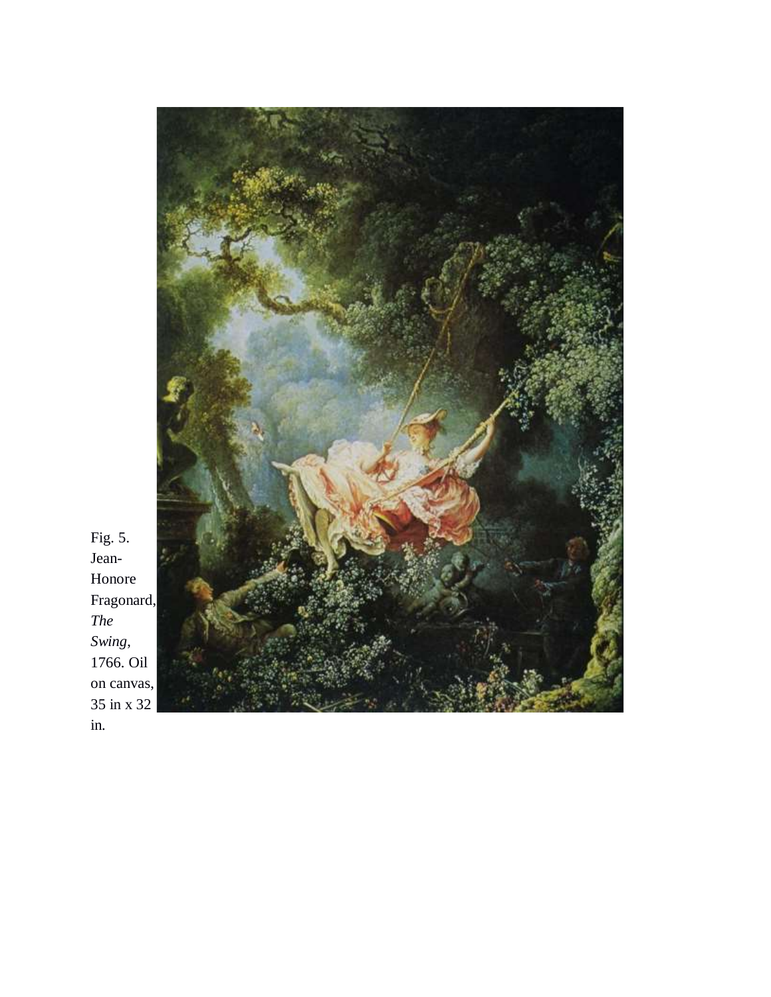

Fig. 5. Jean-Honore Fragonard, *The Swing*, 1766. Oil on canvas, 35 in x 32 in.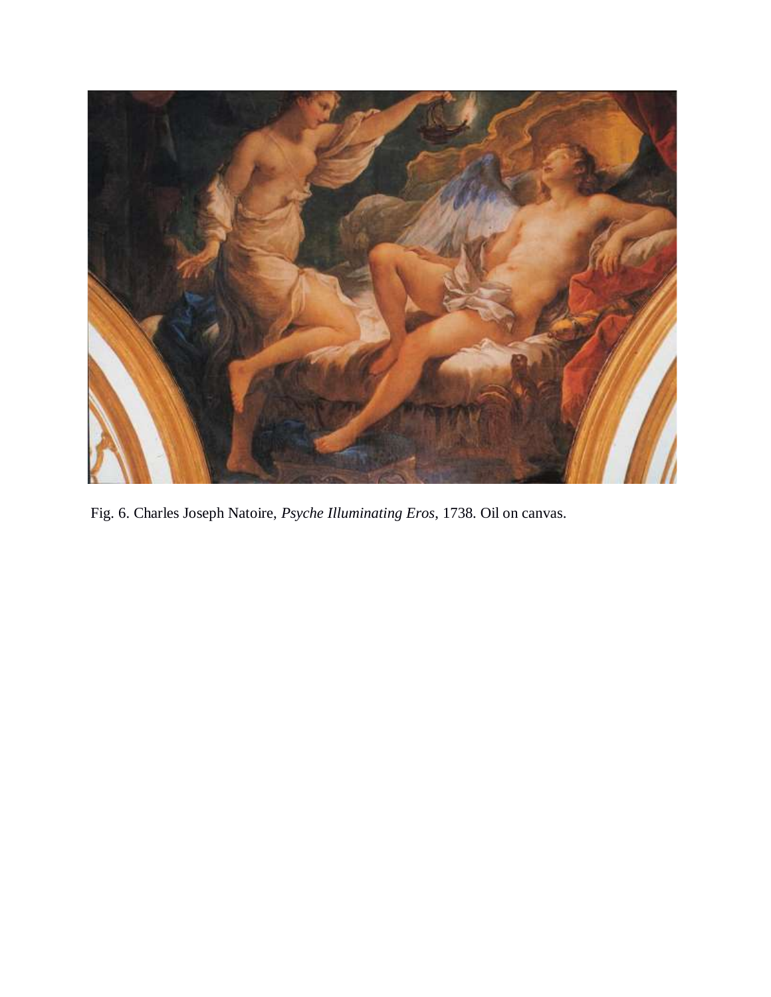

Fig. 6. Charles Joseph Natoire, *Psyche Illuminating Eros*, 1738. Oil on canvas.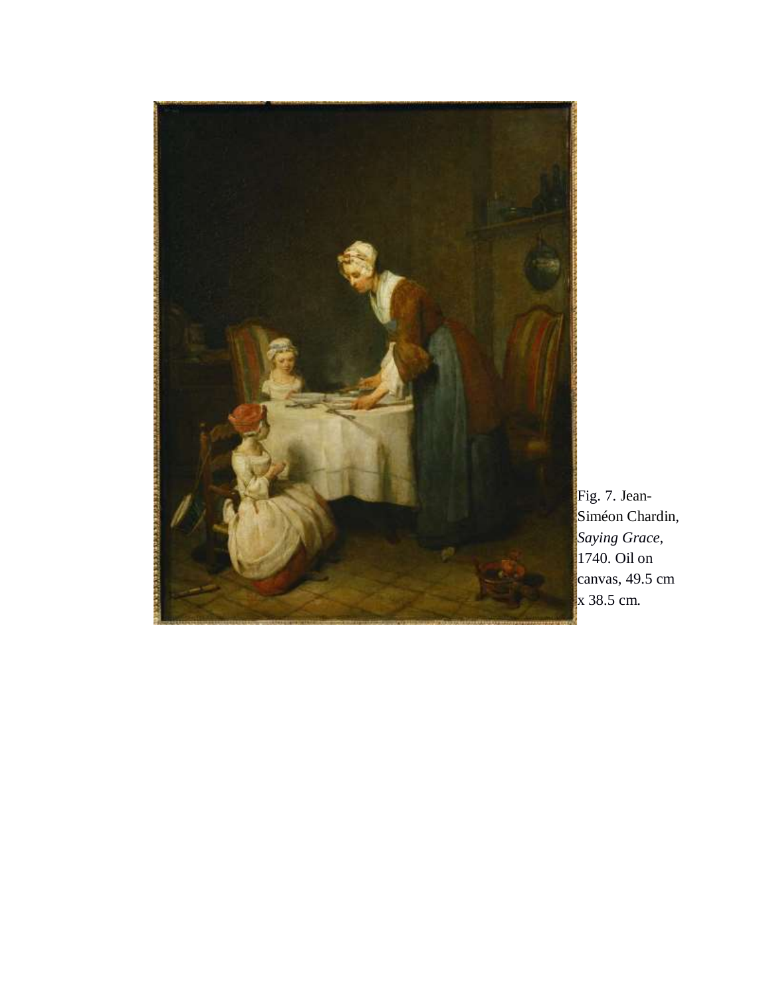

Fig. 7. Jean-Siméon Chardin, *Saying Grace*, 1740. Oil on canvas, 49.5 cm x 38.5 cm.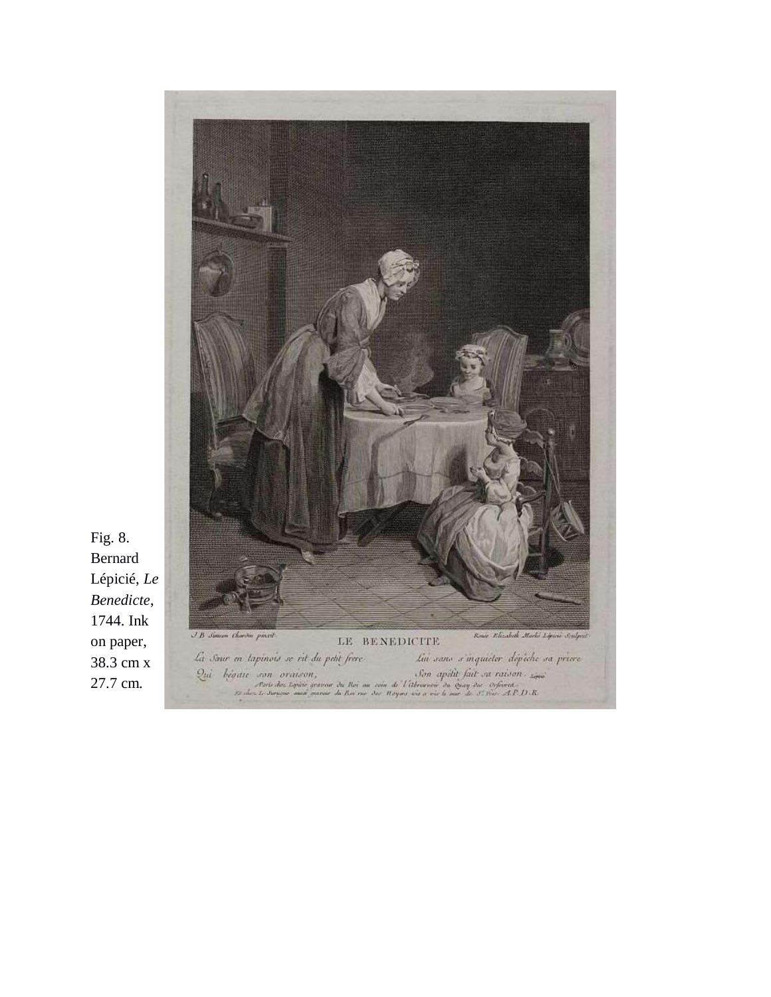

Fig. 8. Bernard Lépicié, *Le Benedicte*, 1744. Ink on paper, 38.3 cm x 27.7 cm.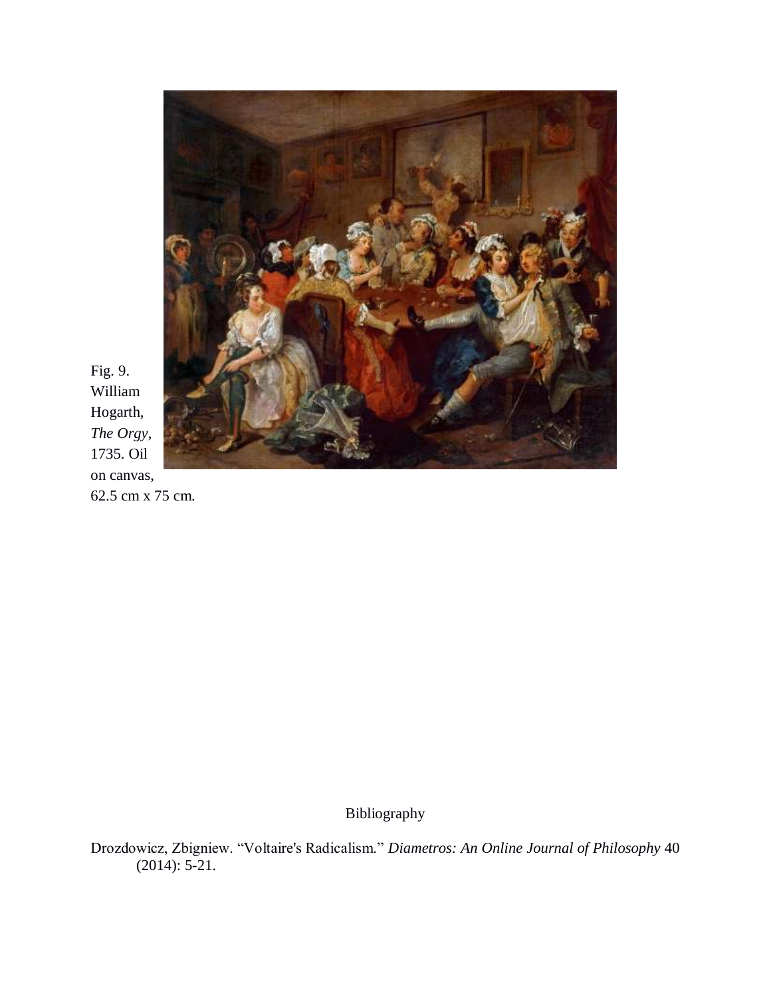

Fig. 9. William Hogarth, *The Orgy*, 1735. Oil on canvas, 62.5 cm x 75 cm.

Bibliography

Drozdowicz, Zbigniew. "Voltaire's Radicalism." *Diametros: An Online Journal of Philosophy* 40 (2014): 5-21.